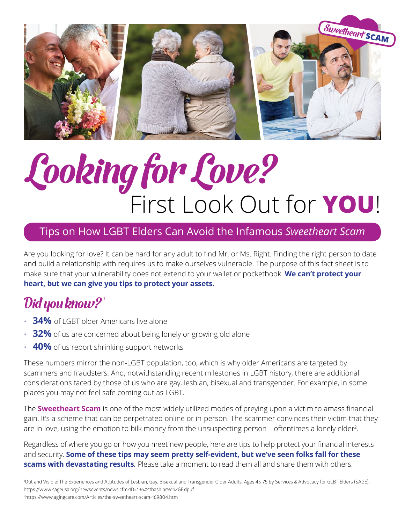

# Looking for Love? First Look Out for **YOU** !

### Tips on How LGBT Elders Can Avoid the Infamous *Sweetheart Scam*

Are you looking for love? It can be hard for any adult to find Mr. or Ms. Right. Finding the right person to date and build a relationship with requires us to make ourselves vulnerable. The purpose of this fact sheet is to make sure that your vulnerability does not extend to your wallet or pocketbook. **We can't protect your heart, but we can give you tips to protect your assets.** 

# $\mathcal{D}$ id you know?'

- **34%** of LGBT older Americans live alone
- **32%** of us are concerned about being lonely or growing old alone
- **40%** of us report shrinking support networks

These numbers mirror the non-LGBT population, too, which is why older Americans are targeted by scammers and fraudsters. And, notwithstanding recent milestones in LGBT history, there are additional considerations faced by those of us who are gay, lesbian, bisexual and transgender. For example, in some places you may not feel safe coming out as LGBT.

The **Sweetheart Scam** is one of the most widely utilized modes of preying upon a victim to amass financial gain. It's a scheme that can be perpetrated online or in-person. The scammer convinces their victim that they are in love, using the emotion to bilk money from the unsuspecting person—oftentimes a lonely elder<sup>2</sup>.

Regardless of where you go or how you meet new people, here are tips to help protect your financial interests and security. **Some of these tips may seem pretty self-evident, but we've seen folks fall for these scams with devastating results***.* Please take a moment to read them all and share them with others.